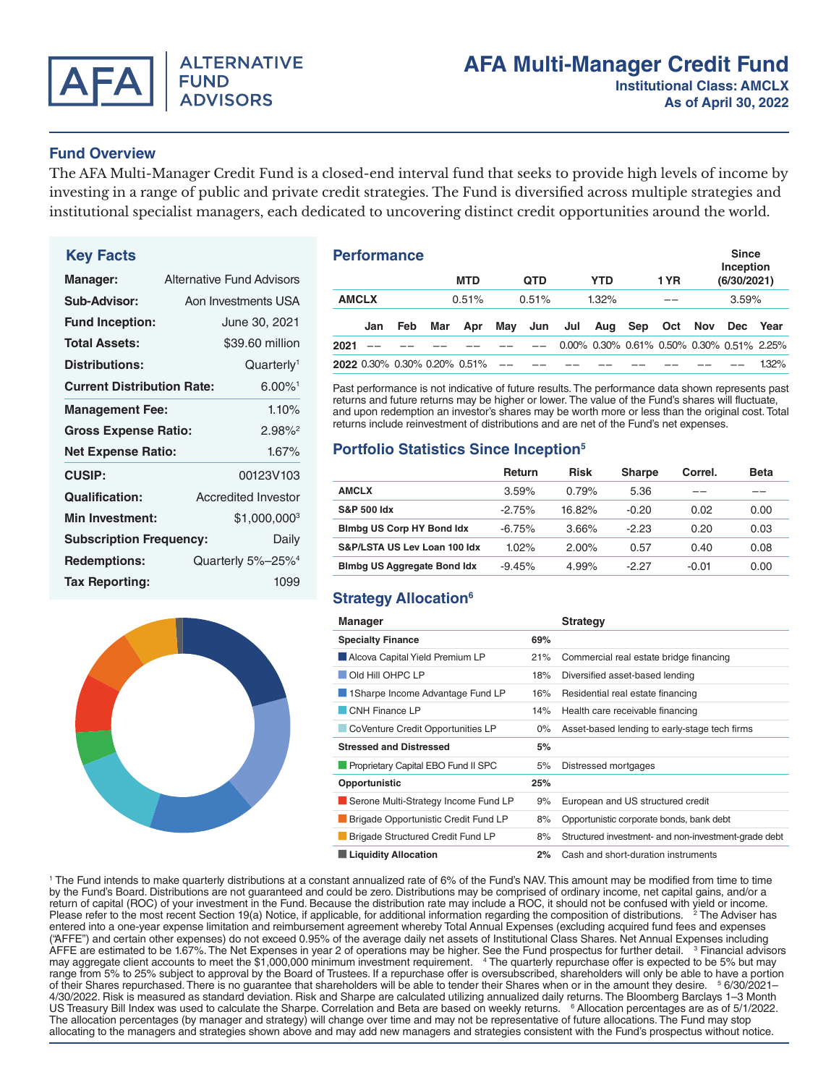

## **Fund Overview**

The AFA Multi-Manager Credit Fund is a closed-end interval fund that seeks to provide high levels of income by investing in a range of public and private credit strategies. The Fund is diversified across multiple strategies and institutional specialist managers, each dedicated to uncovering distinct credit opportunities around the world.

# **Key Facts**

| Manager:                                |                       | <b>Alternative Fund Advisors</b> |
|-----------------------------------------|-----------------------|----------------------------------|
| Sub-Advisor:                            |                       | Aon Investments USA              |
| <b>Fund Inception:</b>                  |                       | June 30, 2021                    |
| <b>Total Assets:</b>                    |                       | \$39,60 million                  |
| <b>Distributions:</b>                   |                       | Quarterly <sup>1</sup>           |
| <b>Current Distribution Rate:</b>       |                       | $6.00\%$ <sup>1</sup>            |
| <b>Management Fee:</b><br>1.10%         |                       |                                  |
| <b>Gross Expense Ratio:</b>             | $2.98\%$ <sup>2</sup> |                                  |
| <b>Net Expense Ratio:</b>               |                       | 1.67%                            |
| <b>CUSIP:</b>                           |                       | 00123V103                        |
| <b>Qualification:</b>                   |                       | <b>Accredited Investor</b>       |
| <b>Min Investment:</b>                  |                       | \$1,000,0003                     |
| <b>Subscription Frequency:</b><br>Daily |                       |                                  |
| <b>Redemptions:</b>                     |                       | Quarterly 5%-25% <sup>4</sup>    |
| <b>Tax Reporting:</b>                   |                       | 1099                             |



### **MTD QTD YTD 1 YR Since Inception (6/30/2021) AMCLX** 0.51% 0.51% 1.32% –– 3.59% **Jan Feb Mar Apr May Jun Jul Aug Sep Oct Nov Dec Year 2021** –– –– –– –– –– –– 0.00% 0.30% 0.61% 0.50% 0.30% 0.51% 2.25% **2022** 0.30% 0.30% 0.20% 0.51% –– –– –– –– –– –– –– –– 1.32% **Performance**

Past performance is not indicative of future results. The performance data shown represents past returns and future returns may be higher or lower. The value of the Fund's shares will fluctuate, and upon redemption an investor's shares may be worth more or less than the original cost. Total returns include reinvestment of distributions and are net of the Fund's net expenses.

## **Portfolio Statistics Since Inception5**

|                                    | <b>Return</b> | Risk     | <b>Sharpe</b> | Correl. | <b>Beta</b> |
|------------------------------------|---------------|----------|---------------|---------|-------------|
| <b>AMCLX</b>                       | 3.59%         | 0.79%    | 5.36          |         |             |
| <b>S&amp;P 500 ldx</b>             | $-2.75%$      | 16.82%   | $-0.20$       | 0.02    | 0.00        |
| <b>Bimbg US Corp HY Bond Idx</b>   | $-6.75%$      | 3.66%    | $-2.23$       | 0.20    | 0.03        |
| S&P/LSTA US Lev Loan 100 ldx       | 1.02%         | $2.00\%$ | 0.57          | 0.40    | 0.08        |
| <b>Bimbg US Aggregate Bond Idx</b> | $-9.45%$      | 4.99%    | -2.27         | $-0.01$ | 0.00        |

# **Strategy Allocation6**

| <b>Manager</b>                              |       | <b>Strategy</b>                                      |
|---------------------------------------------|-------|------------------------------------------------------|
| <b>Specialty Finance</b>                    | 69%   |                                                      |
| Alcova Capital Yield Premium LP             | 21%   | Commercial real estate bridge financing              |
| Old Hill OHPC LP                            | 18%   | Diversified asset-based lending                      |
| 1Sharpe Income Advantage Fund LP            | 16%   | Residential real estate financing                    |
| CNH Finance LP                              | 14%   | Health care receivable financing                     |
| CoVenture Credit Opportunities LP           | $0\%$ | Asset-based lending to early-stage tech firms        |
| <b>Stressed and Distressed</b>              | 5%    |                                                      |
| Proprietary Capital EBO Fund II SPC         | 5%    | Distressed mortgages                                 |
| Opportunistic                               | 25%   |                                                      |
| Serone Multi-Strategy Income Fund LP        | 9%    | European and US structured credit                    |
| <b>Brigade Opportunistic Credit Fund LP</b> | 8%    | Opportunistic corporate bonds, bank debt             |
| Brigade Structured Credit Fund LP           | 8%    | Structured investment- and non-investment-grade debt |
| <b>Liquidity Allocation</b>                 | 2%    | Cash and short-duration instruments                  |

1 The Fund intends to make quarterly distributions at a constant annualized rate of 6% of the Fund's NAV. This amount may be modified from time to time by the Fund's Board. Distributions are not guaranteed and could be zero. Distributions may be comprised of ordinary income, net capital gains, and/or a return of capital (ROC) of your investment in the Fund. Because the distribution rate may include a ROC, it should not be confused with yield or income. Please refer to the most recent Section 19(a) Notice, if applicable, for additional information regarding the composition of distributions. <sup>2</sup> The Adviser has entered into a one-year expense limitation and reimbursement agreement whereby Total Annual Expenses (excluding acquired fund fees and expenses ("AFFE") and certain other expenses) do not exceed 0.95% of the average daily net assets of Institutional Class Shares. Net Annual Expenses including AFFE are estimated to be 1.67%. The Net Expenses in year 2 of operations may be higher. See the Fund prospectus for further detail. <sup>3</sup> Financial advisors may aggregate client accounts to meet the \$1,000,000 minimum investment requirement. 4 The quarterly repurchase offer is expected to be 5% but may range from 5% to 25% subject to approval by the Board of Trustees. If a repurchase offer is oversubscribed, shareholders will only be able to have a portion of their Shares repurchased. There is no guarantee that shareholders will be able to tender their Shares when or in the amount they desire. <sup>5</sup> 6/30/2021-4/30/2022. Risk is measured as standard deviation. Risk and Sharpe are calculated utilizing annualized daily returns. The Bloomberg Barclays 1–3 Month US Treasury Bill Index was used to calculate the Sharpe. Correlation and Beta are based on weekly returns. <sup>6</sup> Allocation percentages are as of 5/1/2022. The allocation percentages (by manager and strategy) will change over time and may not be representative of future allocations. The Fund may stop allocating to the managers and strategies shown above and may add new managers and strategies consistent with the Fund's prospectus without notice.